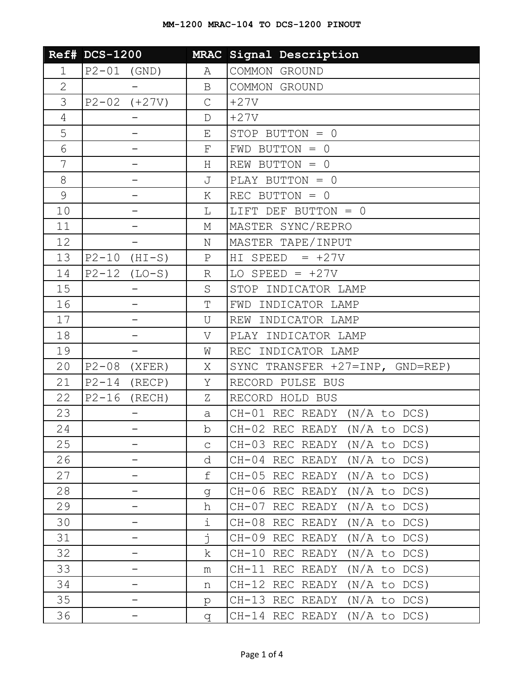|                | <b>Ref# DCS-1200</b>     |                    | MRAC Signal Description         |
|----------------|--------------------------|--------------------|---------------------------------|
| $\mathbf 1$    | $P2-01$ (GND)            | Α                  | COMMON GROUND                   |
| $\overline{2}$ |                          | $\mathbf B$        | COMMON GROUND                   |
| 3              | $P2 - 02$ $(+27V)$       | $\mathsf{C}$       | $+27V$                          |
| 4              |                          | $\mathbb D$        | $+27V$                          |
| 5              |                          | E                  | STOP BUTTON = 0                 |
| 6              |                          | $\mathbf{F}% _{0}$ | $FWD$ BUTTON = 0                |
| 7              |                          | Η                  | REW BUTTON = $0$                |
| 8              |                          | J                  | PLAY BUTTON = 0                 |
| $\mathcal{G}$  |                          | Κ                  | REC BUTTON = $0$                |
| 10             |                          | L                  | LIFT DEF BUTTON = 0             |
| 11             |                          | М                  | MASTER SYNC/REPRO               |
| 12             |                          | Ν                  | MASTER TAPE/INPUT               |
| 13             | $P2-10$ (HI-S)           | $\rm P$            | HI SPEED $= +27V$               |
| 14             | $P2-12$ (LO-S)           | R                  | LO SPEED = $+27V$               |
| 15             | $\overline{\phantom{0}}$ | S                  | STOP INDICATOR LAMP             |
| 16             | -                        | T                  | FWD INDICATOR LAMP              |
| 17             |                          | U                  | REW INDICATOR LAMP              |
| 18             |                          | V                  | PLAY INDICATOR LAMP             |
| 19             |                          | W                  | REC INDICATOR LAMP              |
| 20             | $P2-08$<br>(XFER)        | Χ                  | SYNC TRANSFER +27=INP, GND=REP) |
| 21             | $P2-14$ (RECP)           | Υ                  | RECORD PULSE BUS                |
| 22             | $P2-16$ (RECH)           | Ζ                  | RECORD HOLD BUS                 |
| 23             |                          | a                  | CH-01 REC READY (N/A to DCS)    |
| 24             |                          | b                  | CH-02 REC READY (N/A to DCS)    |
| 25             |                          | $\mathsf{C}$       | CH-03 REC READY (N/A to DCS)    |
| 26             |                          | d                  | CH-04 REC READY (N/A to DCS)    |
| 27             |                          | f                  | $CH-05$ REC READY (N/A to DCS)  |
| 28             |                          | q                  | CH-06 REC READY (N/A to DCS)    |
| 29             |                          | h                  | $CH-07$ REC READY (N/A to DCS)  |
| 30             |                          | i                  | CH-08 REC READY (N/A to DCS)    |
| 31             |                          | İ.                 | $CH-09$ REC READY (N/A to DCS)  |
| 32             |                          | k                  | CH-10 REC READY (N/A to DCS)    |
| 33             |                          | m                  | CH-11 REC READY (N/A to DCS)    |
| 34             |                          | n                  | CH-12 REC READY (N/A to DCS)    |
| 35             | -                        | p                  | CH-13 REC READY (N/A to DCS)    |
| 36             |                          | q                  | $CH-14$ REC READY (N/A to DCS)  |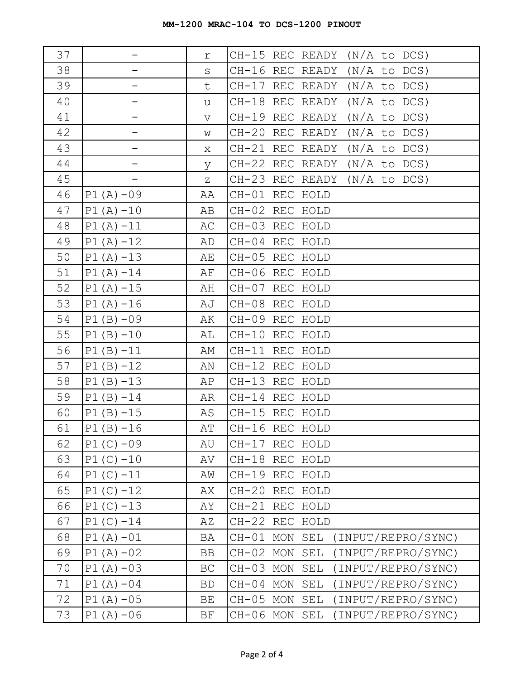| 37 |              | r           | CH-15 REC READY (N/A to DCS)           |
|----|--------------|-------------|----------------------------------------|
| 38 |              | $\rm S$     | CH-16 REC READY (N/A to DCS)           |
| 39 | -            | t           | CH-17 REC READY (N/A to DCS)           |
| 40 | -            | u           | CH-18 REC READY (N/A to DCS)           |
| 41 |              | $\mathbf v$ | CH-19 REC READY (N/A to DCS)           |
| 42 | -            | W           | CH-20 REC READY (N/A to DCS)           |
| 43 |              | Χ           | CH-21 REC READY (N/A to DCS)           |
| 44 |              | У           | CH-22 REC READY (N/A to DCS)           |
| 45 | -            | Ζ           | CH-23 REC READY (N/A to DCS)           |
| 46 | $P1(A) - 09$ | AA          | CH-01 REC HOLD                         |
| 47 | $P1(A) - 10$ | AB          | CH-02 REC HOLD                         |
| 48 | $P1(A) - 11$ | AС          | CH-03 REC HOLD                         |
| 49 | $P1(A) - 12$ | AD          | CH-04 REC HOLD                         |
| 50 | $P1(A) - 13$ | AЕ          | CH-05 REC HOLD                         |
| 51 | $P1(A) - 14$ | ΑF          | CH-06 REC HOLD                         |
| 52 | $P1(A) - 15$ | AH          | CH-07 REC HOLD                         |
| 53 | $P1(A) - 16$ | AJ          | CH-08 REC HOLD                         |
| 54 | $P1(B)-09$   | AК          | CH-09 REC HOLD                         |
| 55 | $P1(B) - 10$ | AL          | CH-10 REC HOLD                         |
| 56 | $P1(B) -11$  | AΜ          | CH-11 REC HOLD                         |
| 57 | $P1(B) - 12$ | ΑN          | CH-12 REC HOLD                         |
| 58 | $P1(B) - 13$ | AP          | CH-13 REC HOLD                         |
| 59 | $P1(B) - 14$ | AR          | CH-14 REC HOLD                         |
| 60 | $P1(B) - 15$ | AS          | CH-15 REC HOLD                         |
| 61 | $P1(B) - 16$ | AΤ          | CH-16 REC HOLD                         |
| 62 | $P1(C) - 09$ | AU          | CH-17 REC HOLD                         |
| 63 | $P1(C) - 10$ | AV          | CH-18 REC HOLD                         |
| 64 | $P1(C) - 11$ | ΑW          | CH-19 REC HOLD                         |
| 65 | $P1(C) - 12$ | АX          | CH-20 REC HOLD                         |
| 66 | $P1(C) - 13$ | AΥ          | CH-21 REC HOLD                         |
| 67 | $P1(C) - 14$ | ΑZ          | CH-22 REC HOLD                         |
| 68 | $P1(A) - 01$ | BA          | CH-01 MON<br>(INPUT/REPRO/SYNC)<br>SEL |
| 69 | $P1(A)-02$   | BB          | CH-02 MON<br>SEL<br>(INPUT/REPRO/SYNC) |
| 70 | $P1(A)-03$   | BC          | CH-03 MON<br>(INPUT/REPRO/SYNC)<br>SEL |
| 71 | $P1(A)-04$   | <b>BD</b>   | (INPUT/REPRO/SYNC)<br>CH-04 MON<br>SEL |
| 72 | $P1(A) - 05$ | BE          | (INPUT/REPRO/SYNC)<br>CH-05 MON<br>SEL |
| 73 | $P1(A) - 06$ | BF          | CH-06 MON SEL<br>(INPUT/REPRO/SYNC)    |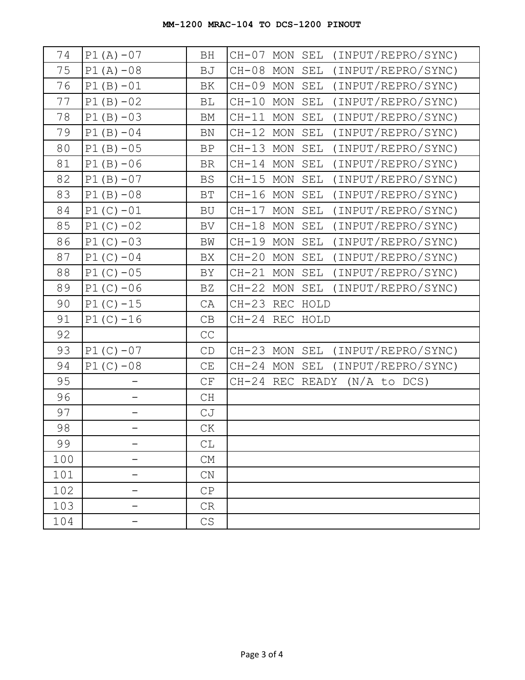| 74  | $P1(A) - 07$ | BH                       | (INPUT/REPRO/SYNC)<br>$CH-07$<br>MON SEL    |
|-----|--------------|--------------------------|---------------------------------------------|
| 75  | $P1(A) - 08$ | BJ                       | (INPUT/REPRO/SYNC)<br>$CH-08$<br>MON<br>SEL |
| 76  | $P1(B) - 01$ | BK                       | CH-09 MON<br>(INPUT/REPRO/SYNC)<br>SEL      |
| 77  | $P1(B)-02$   | BL                       | (INPUT/REPRO/SYNC)<br>$CH-10$<br>MON<br>SEL |
| 78  | $P1(B) - 03$ | BM                       | (INPUT/REPRO/SYNC)<br>CH-11 MON<br>SEL      |
| 79  | $P1(B)-04$   | BN                       | (INPUT/REPRO/SYNC)<br>$CH-12$<br>MON<br>SEL |
| 80  | $P1(B) - 05$ | BP                       | CH-13 MON<br>(INPUT/REPRO/SYNC)<br>SEL      |
| 81  | $P1(B) - 06$ | <b>BR</b>                | (INPUT/REPRO/SYNC)<br>CH-14 MON<br>SEL      |
| 82  | $P1(B) - 07$ | BS                       | (INPUT/REPRO/SYNC)<br>CH-15 MON<br>SEL      |
| 83  | $P1(B) - 08$ | $\operatorname{BT}$      | CH-16 MON<br>(INPUT/REPRO/SYNC)<br>SEL      |
| 84  | $P1(C) - 01$ | BU                       | (INPUT/REPRO/SYNC)<br>CH-17 MON<br>SEL      |
| 85  | $P1(C) - 02$ | BV                       | CH-18 MON<br>(INPUT/REPRO/SYNC)<br>SEL      |
| 86  | $P1(C) - 03$ | BW                       | CH-19 MON<br>(INPUT/REPRO/SYNC)<br>SEL      |
| 87  | $P1(C) - 04$ | BX                       | CH-20 MON<br>(INPUT/REPRO/SYNC)<br>SEL      |
| 88  | $P1(C) - 05$ | BY                       | (INPUT/REPRO/SYNC)<br>CH-21 MON<br>SEL      |
| 89  | $P1(C) - 06$ | BZ                       | CH-22 MON<br>(INPUT/REPRO/SYNC)<br>SEL      |
| 90  | $P1(C) - 15$ | CA                       | CH-23 REC HOLD                              |
| 91  | $P1(C) - 16$ | CB                       | CH-24 REC HOLD                              |
| 92  |              | $\mathbb{C}\mathbb{C}$   |                                             |
| 93  | $P1(C) - 07$ | $\mathbb{C}\mathbb{D}$   | CH-23 MON SEL<br>(INPUT/REPRO/SYNC)         |
| 94  | $P1(C) -08$  | $\mathbb{C}\mathcal{E}$  | $CH-24$ MON<br>SEL<br>(INPUT/REPRO/SYNC)    |
| 95  |              | $\mathbb{C}\,\mathbf{F}$ | $CH-24$ REC READY (N/A to DCS)              |
| 96  |              | CH                       |                                             |
| 97  |              | CJ                       |                                             |
| 98  |              | CK                       |                                             |
| 99  |              | CL                       |                                             |
| 100 |              | CM                       |                                             |
| 101 |              | CN                       |                                             |
| 102 |              | CP                       |                                             |
| 103 |              | CR                       |                                             |
| 104 |              | CS                       |                                             |